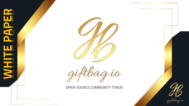



agio

**OPEN-SOURCE COMMUNITY TOKEN.** 

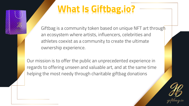# **What Is Giftbag.io?**

Giftbag is a community token based on unique NFT art through an ecosystem where artists, influencers, celebrities and athletes coexist as a community to create the ultimate ownership experience.

Our mission is to offer the public an unprecedented experience in regards to offering unseen and valuable art, and at the same time helping the most needy through charitable giftbag donations

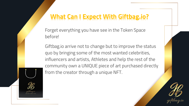#### **What Can I Expect With Giftbag.io?**

Forget everything you have see in the Token Space before!

Giftbag.io arrive not to change but to improve the status quo by bringing some of the most wanted celebrities, influencers and artists, Athletes and help the rest of the community own a UNIQUE piece of art purchased directly from the creator through a unique NFT.



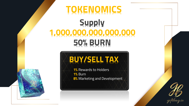## **TOKENOMICS**

## **Supply 1,000,000,000,000,000 50% BURN**



**1%** Rewards to Holders **1%** Burn **8%** Marketing and Development



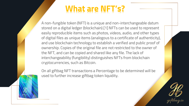### **What are NFT's?**

A non-fungible token (NFT) is a unique and non-interchangeable datum stored on a digital ledger (blockchain).[1] NFTs can be used to represent easily reproducible items such as photos, videos, audio, and other types of digital files as unique items (analogous to a certificate of authenticity), and use blockchain technology to establish a verified and public proof of ownership. Copies of the original file are not restricted to the owner of the NFT, and can be copied and shared like any file. The lack of interchangeability (fungibility) distinguishes NFTs from blockchain cryptocurrencies, such as Bitcoin.

On all giftbag NFT transactions a Percentage to be determined will be used to further increase giftbag token liquidity.

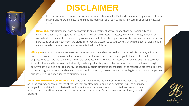#### **DISCLAIMER**

Past performance is not necessarily indicative of future results. Past performance is no guarantee of future returns and there is no guarantee that the market price of coin will fully reflect their underlying net asset value.

**NO ADVICE:** this Whitepaper does not constitute any investment advice, financial advice, trading advice or recommendation by giftbag.io, its affiliates, or its respective officers, directors, managers, agents, advisors, or consultants on the merits of purchasing tokens nor should it be relied upon in connection with any other contract or purchasing decision. Nothing on the platforms of reddit, discord, telegram, twitter, this white paper or website is, or should be relied on as, a promise or representation in the future.

**giftbag.io** or any party associates makes no representation regarding the likelihood or probability that any actual or proposed account allocation will in fact achieve a particular investment outcome or goal. Please realize that cryptocurrencies have the value that individuals associate with it. Be wise in investing money into any digital currency. Prices fluctuate and tokens can be lost easily due to digital mishaps and other technical forms of theft even though security above all else is our top priority incidents may occur. giftbag.io, it's affiliates, or its respective officers, directors, managers, agents, advisors and consultants are not liable for any choices users make with giftbag.io is not a company or business. This is an open source community token.

**NO REPRESENTATIONS OR WARRANTIES** have been made to the recipient of this Whitepaper or its advisors as to the accuracy or completeness of the information, statements, opinions or matters (express or implied) arising out of, contained in, or derived from this whitepaper or any omission from this document or of any other written or oral information or opinions provided now or in the future to any interested party or their advisors.